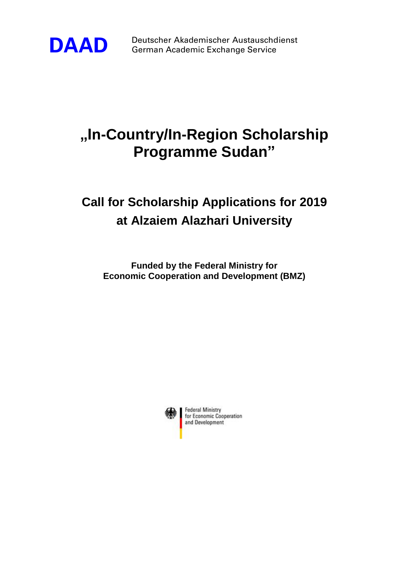

**DAAD** Deutscher Akademischer Austauschdienst<br>German Academic Exchange Service German Academic Exchange Service

## **"In-Country/In-Region Scholarship Programme Sudan"**

## **Call for Scholarship Applications for 2019 at Alzaiem Alazhari University**

**Funded by the Federal Ministry for Economic Cooperation and Development (BMZ)**



**Federal Ministry** for Economic Cooperation and Development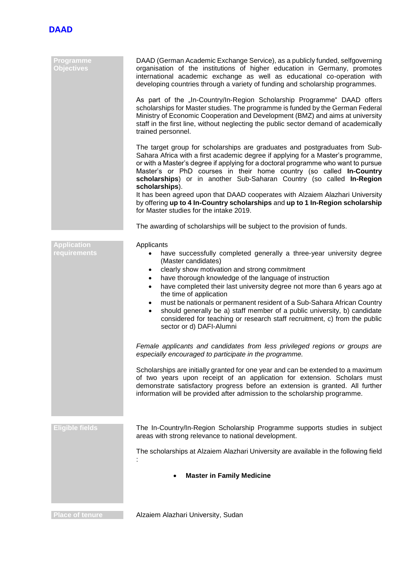

| Programme<br><b>Objectives</b>            | DAAD (German Academic Exchange Service), as a publicly funded, selfgoverning<br>organisation of the institutions of higher education in Germany, promotes<br>international academic exchange as well as educational co-operation with<br>developing countries through a variety of funding and scholarship programmes.                                                                                                                                                                                                                                                                                                                                       |
|-------------------------------------------|--------------------------------------------------------------------------------------------------------------------------------------------------------------------------------------------------------------------------------------------------------------------------------------------------------------------------------------------------------------------------------------------------------------------------------------------------------------------------------------------------------------------------------------------------------------------------------------------------------------------------------------------------------------|
|                                           | As part of the "In-Country/In-Region Scholarship Programme" DAAD offers<br>scholarships for Master studies. The programme is funded by the German Federal<br>Ministry of Economic Cooperation and Development (BMZ) and aims at university<br>staff in the first line, without neglecting the public sector demand of academically<br>trained personnel.                                                                                                                                                                                                                                                                                                     |
|                                           | The target group for scholarships are graduates and postgraduates from Sub-<br>Sahara Africa with a first academic degree if applying for a Master's programme,<br>or with a Master's degree if applying for a doctoral programme who want to pursue<br>Master's or PhD courses in their home country (so called In-Country<br>scholarships) or in another Sub-Saharan Country (so called In-Region<br>scholarships).                                                                                                                                                                                                                                        |
|                                           | It has been agreed upon that DAAD cooperates with Alzaiem Alazhari University<br>by offering up to 4 In-Country scholarships and up to 1 In-Region scholarship<br>for Master studies for the intake 2019.                                                                                                                                                                                                                                                                                                                                                                                                                                                    |
|                                           | The awarding of scholarships will be subject to the provision of funds.                                                                                                                                                                                                                                                                                                                                                                                                                                                                                                                                                                                      |
| <b>Application</b><br><b>requirements</b> | Applicants<br>have successfully completed generally a three-year university degree<br>(Master candidates)<br>clearly show motivation and strong commitment<br>$\bullet$<br>have thorough knowledge of the language of instruction<br>$\bullet$<br>have completed their last university degree not more than 6 years ago at<br>$\bullet$<br>the time of application<br>must be nationals or permanent resident of a Sub-Sahara African Country<br>$\bullet$<br>should generally be a) staff member of a public university, b) candidate<br>$\bullet$<br>considered for teaching or research staff recruitment, c) from the public<br>sector or d) DAFI-Alumni |
|                                           | Female applicants and candidates from less privileged regions or groups are<br>especially encouraged to participate in the programme.                                                                                                                                                                                                                                                                                                                                                                                                                                                                                                                        |
|                                           | Scholarships are initially granted for one year and can be extended to a maximum<br>of two years upon receipt of an application for extension. Scholars must<br>demonstrate satisfactory progress before an extension is granted. All further<br>information will be provided after admission to the scholarship programme.                                                                                                                                                                                                                                                                                                                                  |
| <b>Eligible fields</b>                    | The In-Country/In-Region Scholarship Programme supports studies in subject                                                                                                                                                                                                                                                                                                                                                                                                                                                                                                                                                                                   |
|                                           | areas with strong relevance to national development.                                                                                                                                                                                                                                                                                                                                                                                                                                                                                                                                                                                                         |
|                                           | The scholarships at Alzaiem Alazhari University are available in the following field                                                                                                                                                                                                                                                                                                                                                                                                                                                                                                                                                                         |
|                                           | <b>Master in Family Medicine</b>                                                                                                                                                                                                                                                                                                                                                                                                                                                                                                                                                                                                                             |
| <b>Place of tenure</b>                    | Alzaiem Alazhari University, Sudan                                                                                                                                                                                                                                                                                                                                                                                                                                                                                                                                                                                                                           |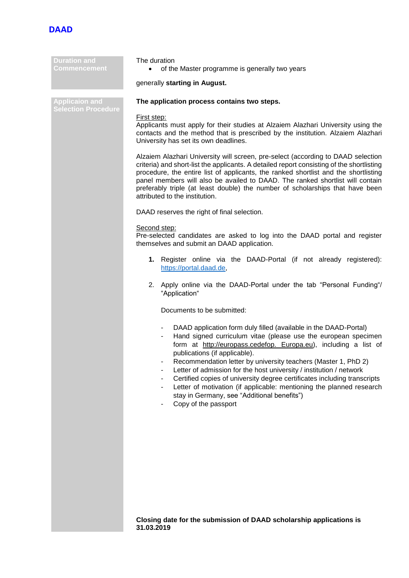

| <b>Duration and</b><br><b>Commencement</b>          | The duration<br>of the Master programme is generally two years                                                                                                                                                                                                                                                                                                                                                                                                                                                                                                                                              |  |
|-----------------------------------------------------|-------------------------------------------------------------------------------------------------------------------------------------------------------------------------------------------------------------------------------------------------------------------------------------------------------------------------------------------------------------------------------------------------------------------------------------------------------------------------------------------------------------------------------------------------------------------------------------------------------------|--|
|                                                     | generally starting in August.                                                                                                                                                                                                                                                                                                                                                                                                                                                                                                                                                                               |  |
| <b>Applicaion and</b><br><b>Selection Procedure</b> | The application process contains two steps.                                                                                                                                                                                                                                                                                                                                                                                                                                                                                                                                                                 |  |
|                                                     | First step:<br>Applicants must apply for their studies at Alzaiem Alazhari University using the<br>contacts and the method that is prescribed by the institution. Alzaiem Alazhari<br>University has set its own deadlines.                                                                                                                                                                                                                                                                                                                                                                                 |  |
|                                                     | Alzaiem Alazhari University will screen, pre-select (according to DAAD selection<br>criteria) and short-list the applicants. A detailed report consisting of the shortlisting<br>procedure, the entire list of applicants, the ranked shortlist and the shortlisting<br>panel members will also be availed to DAAD. The ranked shortlist will contain<br>preferably triple (at least double) the number of scholarships that have been<br>attributed to the institution.                                                                                                                                    |  |
|                                                     | DAAD reserves the right of final selection.                                                                                                                                                                                                                                                                                                                                                                                                                                                                                                                                                                 |  |
|                                                     | Second step:<br>Pre-selected candidates are asked to log into the DAAD portal and register<br>themselves and submit an DAAD application.                                                                                                                                                                                                                                                                                                                                                                                                                                                                    |  |
|                                                     | 1. Register online via the DAAD-Portal (if not already registered):<br>https://portal.daad.de,                                                                                                                                                                                                                                                                                                                                                                                                                                                                                                              |  |
|                                                     | 2. Apply online via the DAAD-Portal under the tab "Personal Funding"/<br>"Application"                                                                                                                                                                                                                                                                                                                                                                                                                                                                                                                      |  |
|                                                     | Documents to be submitted:                                                                                                                                                                                                                                                                                                                                                                                                                                                                                                                                                                                  |  |
|                                                     | DAAD application form duly filled (available in the DAAD-Portal)<br>Hand signed curriculum vitae (please use the european specimen<br>form at http://europass.cedefop. Europa.eu), including a list of<br>publications (if applicable).<br>Recommendation letter by university teachers (Master 1, PhD 2)<br>Letter of admission for the host university / institution / network<br>Certified copies of university degree certificates including transcripts<br>Letter of motivation (if applicable: mentioning the planned research<br>stay in Germany, see "Additional benefits")<br>Copy of the passport |  |
|                                                     |                                                                                                                                                                                                                                                                                                                                                                                                                                                                                                                                                                                                             |  |

**Closing date for the submission of DAAD scholarship applications is 31.03.2019**